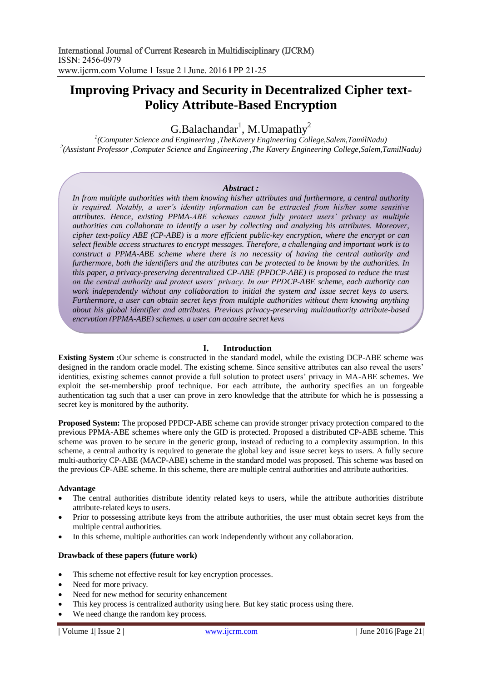# **Improving Privacy and Security in Decentralized Cipher text-Policy Attribute-Based Encryption**

# G.Balachandar<sup>1</sup>, M.Umapathy<sup>2</sup>

*1 (Computer Science and Engineering ,TheKavery Engineering College,Salem,TamilNadu) 2 (Assistant Professor ,Computer Science and Engineering ,The Kavery Engineering College,Salem,TamilNadu)*

#### *Abstract :*

*In from multiple authorities with them knowing his/her attributes and furthermore, a central authority*  is required. Notably, a user's identity information can be extracted from his/her some sensitive *attributes. Hence, existing PPMA-ABE schemes cannot fully protect users' privacy as multiple authorities can collaborate to identify a user by collecting and analyzing his attributes. Moreover, cipher text-policy ABE (CP-ABE) is a more efficient public-key encryption, where the encrypt or can select flexible access structures to encrypt messages. Therefore, a challenging and important work is to construct a PPMA-ABE scheme where there is no necessity of having the central authority and furthermore, both the identifiers and the attributes can be protected to be known by the authorities. In this paper, a privacy-preserving decentralized CP-ABE (PPDCP-ABE) is proposed to reduce the trust on the central authority and protect users' privacy. In our PPDCP-ABE scheme, each authority can work independently without any collaboration to initial the system and issue secret keys to users. Furthermore, a user can obtain secret keys from multiple authorities without them knowing anything about his global identifier and attributes. Previous privacy-preserving multiauthority attribute-based encryption (PPMA-ABE) schemes, a user can acquire secret keys*

## **I. Introduction**

**Existing System :**Our scheme is constructed in the standard model, while the existing DCP-ABE scheme was designed in the random oracle model. The existing scheme. Since sensitive attributes can also reveal the users' identities, existing schemes cannot provide a full solution to protect users' privacy in MA-ABE schemes. We exploit the set-membership proof technique. For each attribute, the authority specifies an un forgeable authentication tag such that a user can prove in zero knowledge that the attribute for which he is possessing a secret key is monitored by the authority.

**Proposed System:** The proposed PPDCP-ABE scheme can provide stronger privacy protection compared to the previous PPMA-ABE schemes where only the GID is protected. Proposed a distributed CP-ABE scheme. This scheme was proven to be secure in the generic group, instead of reducing to a complexity assumption. In this scheme, a central authority is required to generate the global key and issue secret keys to users. A fully secure multi-authority CP-ABE (MACP-ABE) scheme in the standard model was proposed. This scheme was based on the previous CP-ABE scheme. In this scheme, there are multiple central authorities and attribute authorities.

#### **Advantage**

- The central authorities distribute identity related keys to users, while the attribute authorities distribute attribute-related keys to users.
- Prior to possessing attribute keys from the attribute authorities, the user must obtain secret keys from the multiple central authorities.
- In this scheme, multiple authorities can work independently without any collaboration.

## **Drawback of these papers (future work)**

- This scheme not effective result for key encryption processes.
- Need for more privacy.
- Need for new method for security enhancement
- This key process is centralized authority using here. But key static process using there.
- We need change the random key process.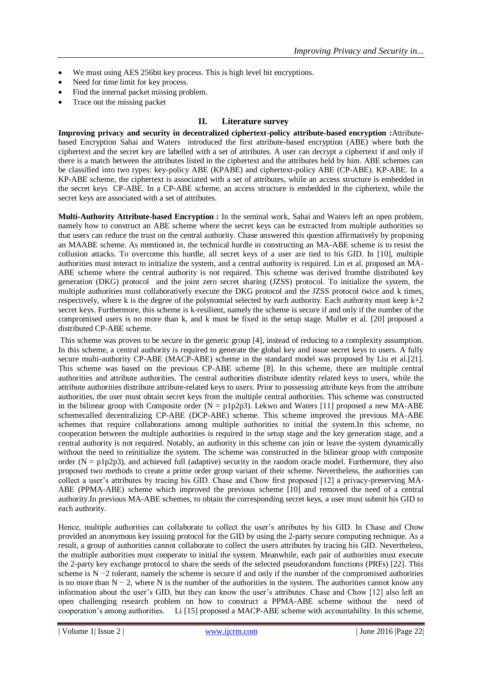- We must using AES 256bit key process. This is high level bit encryptions.
- Need for time limit for key process.
- Find the internal packet missing problem.
- Trace out the missing packet

# **II. Literature survey**

**Improving privacy and security in decentralized ciphertext-policy attribute-based encryption :**Attributebased Encryption Sahai and Waters introduced the first attribute-based encryption (ABE) where both the ciphertext and the secret key are labelled with a set of attributes. A user can decrypt a ciphertext if and only if there is a match between the attributes listed in the ciphertext and the attributes held by him. ABE schemes can be classified into two types: key-policy ABE (KPABE) and ciphertext-policy ABE (CP-ABE). KP-ABE. In a KP-ABE scheme, the ciphertext is associated with a set of attributes, while an access structure is embedded in the secret keys CP-ABE. In a CP-ABE scheme, an access structure is embedded in the ciphertext, while the secret keys are associated with a set of attributes.

**Multi-Authority Attribute-based Encryption :** In the seminal work, Sahai and Waters left an open problem, namely how to construct an ABE scheme where the secret keys can be extracted from multiple authorities so that users can reduce the trust on the central authority. Chase answered this question affirmatively by proposing an MAABE scheme. As mentioned in, the technical hurdle in constructing an MA-ABE scheme is to resist the collusion attacks. To overcome this hurdle, all secret keys of a user are tied to his GID. In [10], multiple authorities must interact to initialize the system, and a central authority is required. Lin et al. proposed an MA-ABE scheme where the central authority is not required. This scheme was derived fromthe distributed key generation (DKG) protocol and the joint zero secret sharing (JZSS) protocol. To initialize the system, the multiple authorities must collaboratively execute the DKG protocol and the JZSS protocol twice and k times, respectively, where k is the degree of the polynomial selected by each authority. Each authority must keep  $k+2$ secret keys. Furthermore, this scheme is k-resilient, namely the scheme is secure if and only if the number of the compromised users is no more than k, and k must be fixed in the setup stage. Muller et al. [20] proposed a distributed CP-ABE scheme.

This scheme was proven to be secure in the generic group [4], instead of reducing to a complexity assumption. In this scheme, a central authority is required to generate the global key and issue secret keys to users. A fully secure multi-authority CP-ABE (MACP-ABE) scheme in the standard model was proposed by Liu et al.[21]. This scheme was based on the previous CP-ABE scheme [8]. In this scheme, there are multiple central authorities and attribute authorities. The central authorities distribute identity related keys to users, while the attribute authorities distribute attribute-related keys to users. Prior to possessing attribute keys from the attribute authorities, the user must obtain secret keys from the multiple central authorities. This scheme was constructed in the bilinear group with Composite order  $(N = p1p2p3)$ . Lekwo and Waters [11] proposed a new MA-ABE schemecalled decentralizing CP-ABE (DCP-ABE) scheme. This scheme improved the previous MA-ABE schemes that require collaborations among multiple authorities to initial the system.In this scheme, no cooperation between the multiple authorities is required in the setup stage and the key generation stage, and a central authority is not required. Notably, an authority in this scheme can join or leave the system dynamically without the need to reinitialize the system. The scheme was constructed in the bilinear group with composite order  $(N = p1p2p3)$ , and achieved full (adaptive) security in the random oracle model. Furthermore, they also proposed two methods to create a prime order group variant of their scheme. Nevertheless, the authorities can collect a user's attributes by tracing his GID. Chase and Chow first proposed [12] a privacy-preserving MA-ABE (PPMA-ABE) scheme which improved the previous scheme [10] and removed the need of a central authority.In previous MA-ABE schemes, to obtain the corresponding secret keys, a user must submit his GID to each authority.

Hence, multiple authorities can collaborate to collect the user's attributes by his GID. In Chase and Chow provided an anonymous key issuing protocol for the GID by using the 2-party secure computing technique. As a result, a group of authorities cannot collaborate to collect the users attributes by tracing his GID. Nevertheless, the multiple authorities must cooperate to initial the system. Meanwhile, each pair of authorities must execute the 2-party key exchange protocol to share the seeds of the selected pseudorandom functions (PRFs) [22]. This scheme is N −2 tolerant, namely the scheme is secure if and only if the number of the compromised authorities is no more than  $N - 2$ , where N is the number of the authorities in the system. The authorities cannot know any information about the user's GID, but they can know the user's attributes. Chase and Chow [12] also left an open challenging research problem on how to construct a PPMA-ABE scheme without the need of cooperation's among authorities. Li [15] proposed a MACP-ABE scheme with accountability. In this scheme,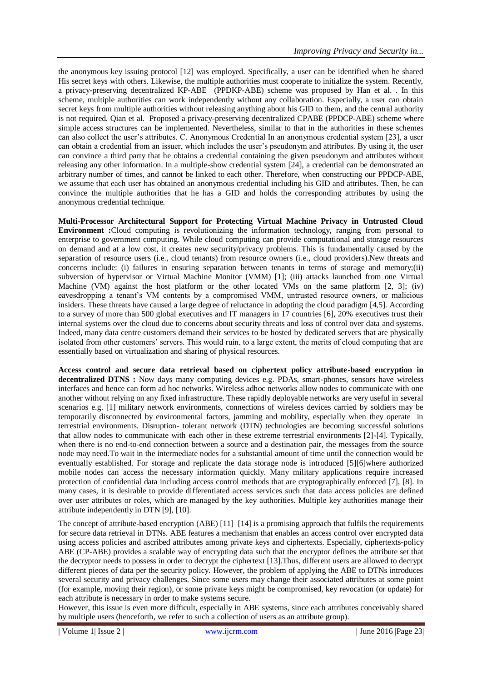the anonymous key issuing protocol [12] was employed. Specifically, a user can be identified when he shared His secret keys with others. Likewise, the multiple authorities must cooperate to initialize the system. Recently, a privacy-preserving decentralized KP-ABE (PPDKP-ABE) scheme was proposed by Han et al. . In this scheme, multiple authorities can work independently without any collaboration. Especially, a user can obtain secret keys from multiple authorities without releasing anything about his GID to them, and the central authority is not required. Qian et al. Proposed a privacy-preserving decentralized CPABE (PPDCP-ABE) scheme where simple access structures can be implemented. Nevertheless, similar to that in the authorities in these schemes can also collect the user's attributes. C. Anonymous Credential In an anonymous credential system [23], a user can obtain a credential from an issuer, which includes the user's pseudonym and attributes. By using it, the user can convince a third party that he obtains a credential containing the given pseudonym and attributes without releasing any other information. In a multiple-show credential system [24], a credential can be demonstrated an arbitrary number of times, and cannot be linked to each other. Therefore, when constructing our PPDCP-ABE, we assume that each user has obtained an anonymous credential including his GID and attributes. Then, he can convince the multiple authorities that he has a GID and holds the corresponding attributes by using the anonymous credential technique.

**Multi-Processor Architectural Support for Protecting Virtual Machine Privacy in Untrusted Cloud Environment :**Cloud computing is revolutionizing the information technology, ranging from personal to enterprise to government computing. While cloud computing can provide computational and storage resources on demand and at a low cost, it creates new security/privacy problems. This is fundamentally caused by the separation of resource users (i.e., cloud tenants) from resource owners (i.e., cloud providers).New threats and concerns include: (i) failures in ensuring separation between tenants in terms of storage and memory;(ii) subversion of hypervisor or Virtual Machine Monitor (VMM) [1]; (iii) attacks launched from one Virtual Machine (VM) against the host platform or the other located VMs on the same platform [2, 3]; (iv) eavesdropping a tenant's VM contents by a compromised VMM, untrusted resource owners, or malicious insiders. These threats have caused a large degree of reluctance in adopting the cloud paradigm [4,5]. According to a survey of more than 500 global executives and IT managers in 17 countries [6], 20% executives trust their internal systems over the cloud due to concerns about security threats and loss of control over data and systems. Indeed, many data centre customers demand their services to be hosted by dedicated servers that are physically isolated from other customers' servers. This would ruin, to a large extent, the merits of cloud computing that are essentially based on virtualization and sharing of physical resources.

**Access control and secure data retrieval based on ciphertext policy attribute-based encryption in decentralized DTNS :** Now days many computing devices e.g. PDAs, smart-phones, sensors have wireless interfaces and hence can form ad hoc networks. Wireless adhoc networks allow nodes to communicate with one another without relying on any fixed infrastructure. These rapidly deployable networks are very useful in several scenarios e.g. [1] military network environments, connections of wireless devices carried by soldiers may be temporarily disconnected by environmental factors, jamming and mobility, especially when they operate in terrestrial environments. Disruption- tolerant network (DTN) technologies are becoming successful solutions that allow nodes to communicate with each other in these extreme terrestrial environments [2]-[4]. Typically, when there is no end-to-end connection between a source and a destination pair, the messages from the source node may need.To wait in the intermediate nodes for a substantial amount of time until the connection would be eventually established. For storage and replicate the data storage node is introduced [5][6]where authorized mobile nodes can access the necessary information quickly. Many military applications require increased protection of confidential data including access control methods that are cryptographically enforced [7], [8]. In many cases, it is desirable to provide differentiated access services such that data access policies are defined over user attributes or roles, which are managed by the key authorities. Multiple key authorities manage their attribute independently in DTN [9], [10].

The concept of attribute-based encryption (ABE) [11]–[14] is a promising approach that fulfils the requirements for secure data retrieval in DTNs. ABE features a mechanism that enables an access control over encrypted data using access policies and ascribed attributes among private keys and ciphertexts. Especially, ciphertexts-policy ABE (CP-ABE) provides a scalable way of encrypting data such that the encryptor defines the attribute set that the decryptor needs to possess in order to decrypt the ciphertext [13].Thus, different users are allowed to decrypt different pieces of data per the security policy. However, the problem of applying the ABE to DTNs introduces several security and privacy challenges. Since some users may change their associated attributes at some point (for example, moving their region), or some private keys might be compromised, key revocation (or update) for each attribute is necessary in order to make systems secure.

However, this issue is even more difficult, especially in ABE systems, since each attributes conceivably shared by multiple users (henceforth, we refer to such a collection of users as an attribute group).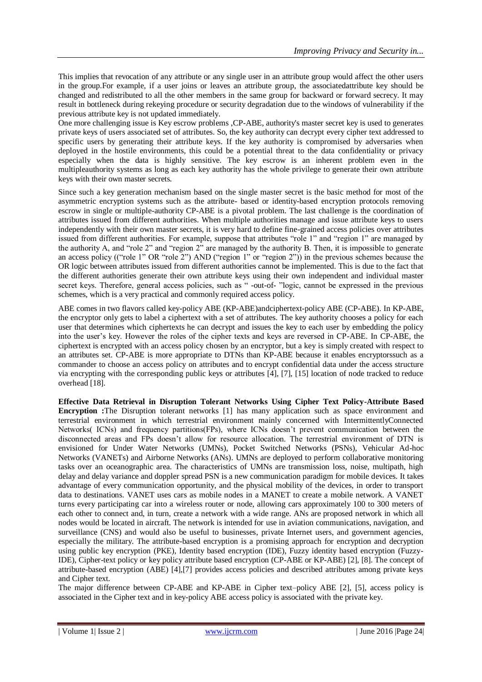This implies that revocation of any attribute or any single user in an attribute group would affect the other users in the group.For example, if a user joins or leaves an attribute group, the associatedattribute key should be changed and redistributed to all the other members in the same group for backward or forward secrecy. It may result in bottleneck during rekeying procedure or security degradation due to the windows of vulnerability if the previous attribute key is not updated immediately.

One more challenging issue is Key escrow problems ,CP-ABE, authority's master secret key is used to generates private keys of users associated set of attributes. So, the key authority can decrypt every cipher text addressed to specific users by generating their attribute keys. If the key authority is compromised by adversaries when deployed in the hostile environments, this could be a potential threat to the data confidentiality or privacy especially when the data is highly sensitive. The key escrow is an inherent problem even in the multipleauthority systems as long as each key authority has the whole privilege to generate their own attribute keys with their own master secrets.

Since such a key generation mechanism based on the single master secret is the basic method for most of the asymmetric encryption systems such as the attribute- based or identity-based encryption protocols removing escrow in single or multiple-authority CP-ABE is a pivotal problem. The last challenge is the coordination of attributes issued from different authorities. When multiple authorities manage and issue attribute keys to users independently with their own master secrets, it is very hard to define fine-grained access policies over attributes issued from different authorities. For example, suppose that attributes "role 1" and "region 1" are managed by the authority A, and "role 2" and "region 2" are managed by the authority B. Then, it is impossible to generate an access policy (("role 1" OR "role 2") AND ("region 1" or "region 2")) in the previous schemes because the OR logic between attributes issued from different authorities cannot be implemented. This is due to the fact that the different authorities generate their own attribute keys using their own independent and individual master secret keys. Therefore, general access policies, such as "-out-of- "logic, cannot be expressed in the previous schemes, which is a very practical and commonly required access policy.

ABE comes in two flavors called key-policy ABE (KP-ABE)andciphertext-policy ABE (CP-ABE). In KP-ABE, the encryptor only gets to label a ciphertext with a set of attributes. The key authority chooses a policy for each user that determines which ciphertexts he can decrypt and issues the key to each user by embedding the policy into the user's key. However the roles of the cipher texts and keys are reversed in CP-ABE. In CP-ABE, the ciphertext is encrypted with an access policy chosen by an encryptor, but a key is simply created with respect to an attributes set. CP-ABE is more appropriate to DTNs than KP-ABE because it enables encryptorssuch as a commander to choose an access policy on attributes and to encrypt confidential data under the access structure via encrypting with the corresponding public keys or attributes [4], [7], [15] location of node tracked to reduce overhead [18].

**Effective Data Retrieval in Disruption Tolerant Networks Using Cipher Text Policy-Attribute Based Encryption :**The Disruption tolerant networks [1] has many application such as space environment and terrestrial environment in which terrestrial environment mainly concerned with IntermittentlyConnected Networks( ICNs) and frequency partitions(FPs), where ICNs doesn't prevent communication between the disconnected areas and FPs doesn't allow for resource allocation. The terrestrial environment of DTN is envisioned for Under Water Networks (UMNs), Pocket Switched Networks (PSNs), Vehicular Ad-hoc Networks (VANETs) and Airborne Networks (ANs). UMNs are deployed to perform collaborative monitoring tasks over an oceanographic area. The characteristics of UMNs are transmission loss, noise, multipath, high delay and delay variance and doppler spread PSN is a new communication paradigm for mobile devices. It takes advantage of every communication opportunity, and the physical mobility of the devices, in order to transport data to destinations. VANET uses cars as mobile nodes in a MANET to create a mobile network. A VANET turns every participating car into a wireless router or node, allowing cars approximately 100 to 300 meters of each other to connect and, in turn, create a network with a wide range. ANs are proposed network in which all nodes would be located in aircraft. The network is intended for use in aviation communications, navigation, and surveillance (CNS) and would also be useful to businesses, private Internet users, and government agencies, especially the military. The attribute-based encryption is a promising approach for encryption and decryption using public key encryption (PKE), Identity based encryption (IDE), Fuzzy identity based encryption (Fuzzy-IDE), Cipher-text policy or key policy attribute based encryption (CP-ABE or KP-ABE) [2], [8]. The concept of attribute-based encryption (ABE) [4],[7] provides access policies and described attributes among private keys and Cipher text.

The major difference between CP-ABE and KP-ABE in Cipher text–policy ABE [2], [5], access policy is associated in the Cipher text and in key-policy ABE access policy is associated with the private key.